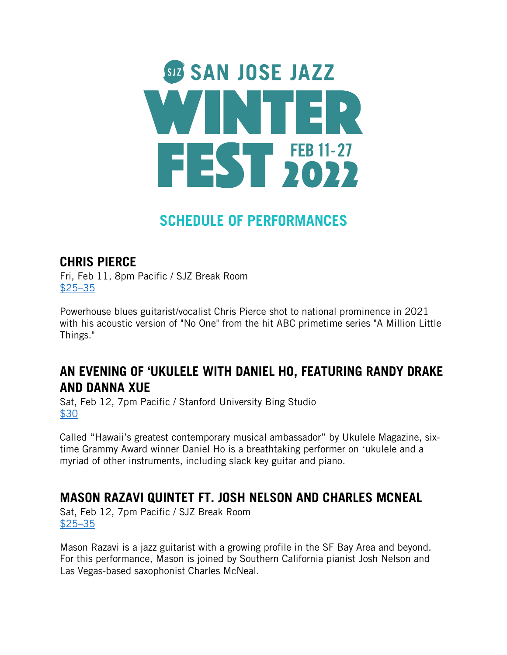

# **SCHEDULE OF PERFORMANCES**

#### **CHRIS PIERCE**

Fri, Feb 11, 8pm Pacific / SJZ Break Room \$25–35

Powerhouse blues guitarist/vocalist Chris Pierce shot to national prominence in 2021 with his acoustic version of "No One" from the hit ABC primetime series "A Million Little Things."

#### **AN EVENING OF 'UKULELE WITH DANIEL HO, FEATURING RANDY DRAKE AND DANNA XUE**

Sat, Feb 12, 7pm Pacific / Stanford University Bing Studio \$30

Called "Hawaii's greatest contemporary musical ambassador" by Ukulele Magazine, sixtime Grammy Award winner Daniel Ho is a breathtaking performer on ʻukulele and a myriad of other instruments, including slack key guitar and piano.

# **MASON RAZAVI QUINTET FT. JOSH NELSON AND CHARLES MCNEAL**

Sat, Feb 12, 7pm Pacific / SJZ Break Room \$25–35

Mason Razavi is a jazz guitarist with a growing profile in the SF Bay Area and beyond. For this performance, Mason is joined by Southern California pianist Josh Nelson and Las Vegas-based saxophonist Charles McNeal.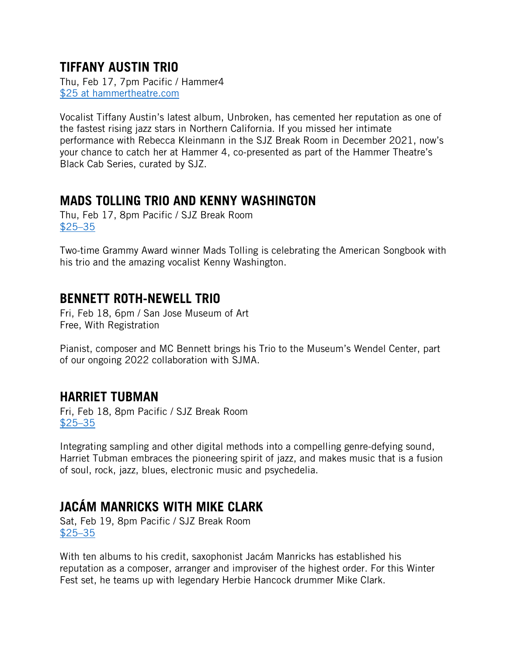#### **TIFFANY AUSTIN TRIO**

Thu, Feb 17, 7pm Pacific / Hammer4 \$25 at hammertheatre.com

Vocalist Tiffany Austin's latest album, Unbroken, has cemented her reputation as one of the fastest rising jazz stars in Northern California. If you missed her intimate performance with Rebecca Kleinmann in the SJZ Break Room in December 2021, now's your chance to catch her at Hammer 4, co-presented as part of the Hammer Theatre's Black Cab Series, curated by SJZ.

### **MADS TOLLING TRIO AND KENNY WASHINGTON**

Thu, Feb 17, 8pm Pacific / SJZ Break Room \$25–35

Two-time Grammy Award winner Mads Tolling is celebrating the American Songbook with his trio and the amazing vocalist Kenny Washington.

#### **BENNETT ROTH-NEWELL TRIO**

Fri, Feb 18, 6pm / San Jose Museum of Art Free, With Registration

Pianist, composer and MC Bennett brings his Trio to the Museum's Wendel Center, part of our ongoing 2022 collaboration with SJMA.

#### **HARRIET TUBMAN**

Fri, Feb 18, 8pm Pacific / SJZ Break Room \$25–35

Integrating sampling and other digital methods into a compelling genre-defying sound, Harriet Tubman embraces the pioneering spirit of jazz, and makes music that is a fusion of soul, rock, jazz, blues, electronic music and psychedelia.

# **JACÁM MANRICKS WITH MIKE CLARK**

Sat, Feb 19, 8pm Pacific / SJZ Break Room \$25–35

With ten albums to his credit, saxophonist Jacám Manricks has established his reputation as a composer, arranger and improviser of the highest order. For this Winter Fest set, he teams up with legendary Herbie Hancock drummer Mike Clark.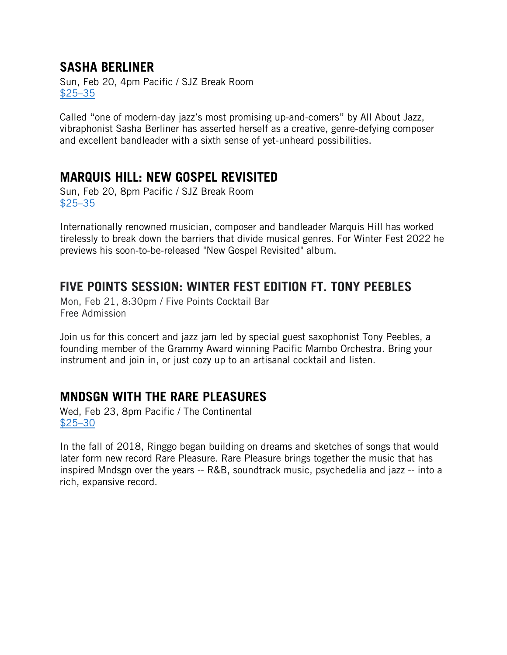#### **SASHA BERLINER**

Sun, Feb 20, 4pm Pacific / SJZ Break Room \$25–35

Called "one of modern-day jazz's most promising up-and-comers" by All About Jazz, vibraphonist Sasha Berliner has asserted herself as a creative, genre-defying composer and excellent bandleader with a sixth sense of yet-unheard possibilities.

#### **MARQUIS HILL: NEW GOSPEL REVISITED**

Sun, Feb 20, 8pm Pacific / SJZ Break Room \$25–35

Internationally renowned musician, composer and bandleader Marquis Hill has worked tirelessly to break down the barriers that divide musical genres. For Winter Fest 2022 he previews his soon-to-be-released "New Gospel Revisited" album.

#### **FIVE POINTS SESSION: WINTER FEST EDITION FT. TONY PEEBLES**

Mon, Feb 21, 8:30pm / Five Points Cocktail Bar Free Admission

Join us for this concert and jazz jam led by special guest saxophonist Tony Peebles, a founding member of the Grammy Award winning Pacific Mambo Orchestra. Bring your instrument and join in, or just cozy up to an artisanal cocktail and listen.

#### **MNDSGN WITH THE RARE PLEASURES**

Wed, Feb 23, 8pm Pacific / The Continental \$25–30

In the fall of 2018, Ringgo began building on dreams and sketches of songs that would later form new record Rare Pleasure. Rare Pleasure brings together the music that has inspired Mndsgn over the years -- R&B, soundtrack music, psychedelia and jazz -- into a rich, expansive record.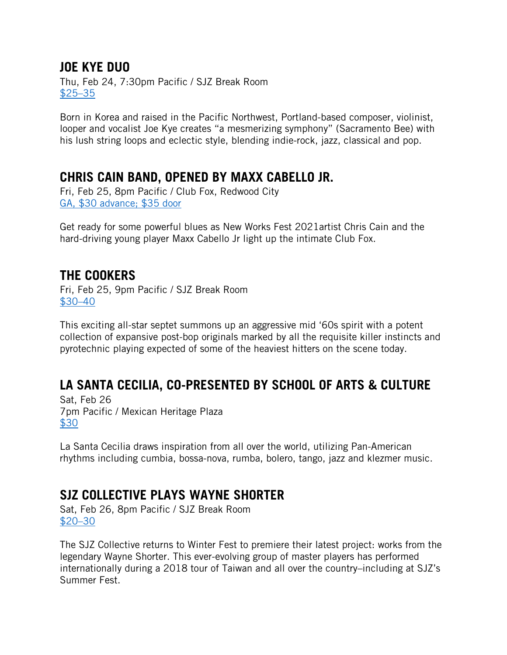#### **JOE KYE DUO**

Thu, Feb 24, 7:30pm Pacific / SJZ Break Room \$25–35

Born in Korea and raised in the Pacific Northwest, Portland-based composer, violinist, looper and vocalist Joe Kye creates "a mesmerizing symphony" (Sacramento Bee) with his lush string loops and eclectic style, blending indie-rock, jazz, classical and pop.

#### **CHRIS CAIN BAND, OPENED BY MAXX CABELLO JR.**

Fri, Feb 25, 8pm Pacific / Club Fox, Redwood City GA, \$30 advance; \$35 door

Get ready for some powerful blues as New Works Fest 2021artist Chris Cain and the hard-driving young player Maxx Cabello Jr light up the intimate Club Fox.

#### **THE COOKERS**

Fri, Feb 25, 9pm Pacific / SJZ Break Room \$30–40

This exciting all-star septet summons up an aggressive mid '60s spirit with a potent collection of expansive post-bop originals marked by all the requisite killer instincts and pyrotechnic playing expected of some of the heaviest hitters on the scene today.

# **LA SANTA CECILIA, CO-PRESENTED BY SCHOOL OF ARTS & CULTURE**

Sat, Feb 26 7pm Pacific / Mexican Heritage Plaza \$30

La Santa Cecilia draws inspiration from all over the world, utilizing Pan-American rhythms including cumbia, bossa-nova, rumba, bolero, tango, jazz and klezmer music.

# **SJZ COLLECTIVE PLAYS WAYNE SHORTER**

Sat, Feb 26, 8pm Pacific / SJZ Break Room \$20–30

The SJZ Collective returns to Winter Fest to premiere their latest project: works from the legendary Wayne Shorter. This ever-evolving group of master players has performed internationally during a 2018 tour of Taiwan and all over the country–including at SJZ's Summer Fest.